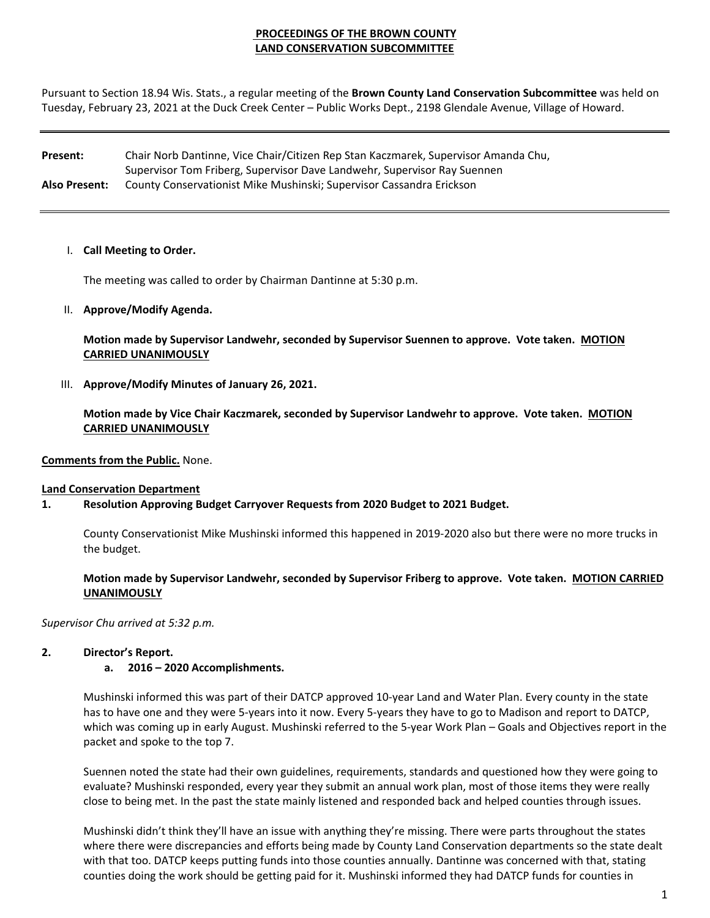# **PROCEEDINGS OF THE BROWN COUNTY LAND CONSERVATION SUBCOMMITTEE**

Pursuant to Section 18.94 Wis. Stats., a regular meeting of the **Brown County Land Conservation Subcommittee** was held on Tuesday, February 23, 2021 at the Duck Creek Center – Public Works Dept., 2198 Glendale Avenue, Village of Howard.

**Present:**  Chair Norb Dantinne, Vice Chair/Citizen Rep Stan Kaczmarek, Supervisor Amanda Chu, Supervisor Tom Friberg, Supervisor Dave Landwehr, Supervisor Ray Suennen **Also Present:** County Conservationist Mike Mushinski; Supervisor Cassandra Erickson

#### I. **Call Meeting to Order.**

The meeting was called to order by Chairman Dantinne at 5:30 p.m.

II. **Approve/Modify Agenda.** 

**Motion made by Supervisor Landwehr, seconded by Supervisor Suennen to approve. Vote taken. MOTION CARRIED UNANIMOUSLY** 

III. **Approve/Modify Minutes of January 26, 2021.**

**Motion made by Vice Chair Kaczmarek, seconded by Supervisor Landwehr to approve. Vote taken. MOTION CARRIED UNANIMOUSLY**

**Comments from the Public.** None.

#### **Land Conservation Department**

### **1. Resolution Approving Budget Carryover Requests from 2020 Budget to 2021 Budget.**

County Conservationist Mike Mushinski informed this happened in 2019‐2020 also but there were no more trucks in the budget.

Motion made by Supervisor Landwehr, seconded by Supervisor Friberg to approve. Vote taken. MOTION CARRIED **UNANIMOUSLY**

*Supervisor Chu arrived at 5:32 p.m.*

### **2. Director's Report.**

### **a. 2016 – 2020 Accomplishments.**

Mushinski informed this was part of their DATCP approved 10‐year Land and Water Plan. Every county in the state has to have one and they were 5-years into it now. Every 5-years they have to go to Madison and report to DATCP, which was coming up in early August. Mushinski referred to the 5-year Work Plan – Goals and Objectives report in the packet and spoke to the top 7.

Suennen noted the state had their own guidelines, requirements, standards and questioned how they were going to evaluate? Mushinski responded, every year they submit an annual work plan, most of those items they were really close to being met. In the past the state mainly listened and responded back and helped counties through issues.

Mushinski didn't think they'll have an issue with anything they're missing. There were parts throughout the states where there were discrepancies and efforts being made by County Land Conservation departments so the state dealt with that too. DATCP keeps putting funds into those counties annually. Dantinne was concerned with that, stating counties doing the work should be getting paid for it. Mushinski informed they had DATCP funds for counties in